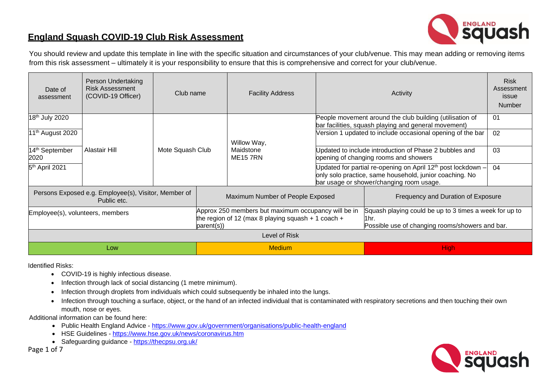

## **England Squash COVID-19 Club Risk Assessment**

You should review and update this template in line with the specific situation and circumstances of your club/venue. This may mean adding or removing items from this risk assessment – ultimately it is your responsibility to ensure that this is comprehensive and correct for your club/venue.

| Date of<br>assessment                                               | Person Undertaking<br><b>Risk Assessment</b><br>(COVID-19 Officer) | Club name        |                                                                                                                         | <b>Facility Address</b>     |  | <b>Risk</b><br>Assessment<br>issue<br><b>Number</b>                                                                                                                             |    |  |  |
|---------------------------------------------------------------------|--------------------------------------------------------------------|------------------|-------------------------------------------------------------------------------------------------------------------------|-----------------------------|--|---------------------------------------------------------------------------------------------------------------------------------------------------------------------------------|----|--|--|
| 18 <sup>th</sup> July 2020                                          |                                                                    |                  |                                                                                                                         |                             |  | People movement around the club building (utilisation of<br>bar facilities, squash playing and general movement)                                                                | 01 |  |  |
| 11 <sup>th</sup> August 2020                                        |                                                                    |                  |                                                                                                                         | Willow Way,                 |  | Version 1 updated to include occasional opening of the bar                                                                                                                      | 02 |  |  |
| 14 <sup>th</sup> September<br>2020                                  | Alastair Hill                                                      | Mote Squash Club |                                                                                                                         | Maidstone<br><b>ME157RN</b> |  | Updated to include introduction of Phase 2 bubbles and<br>opening of changing rooms and showers                                                                                 | 03 |  |  |
| 5 <sup>th</sup> April 2021                                          |                                                                    |                  |                                                                                                                         |                             |  | Updated for partial re-opening on April 12 <sup>th</sup> post lockdown -<br>only solo practice, same household, junior coaching. No<br>bar usage or shower/changing room usage. | 04 |  |  |
| Persons Exposed e.g. Employee(s), Visitor, Member of<br>Public etc. |                                                                    |                  | Maximum Number of People Exposed                                                                                        |                             |  | Frequency and Duration of Exposure                                                                                                                                              |    |  |  |
| Employee(s), volunteers, members                                    |                                                                    |                  | Approx 250 members but maximum occupancy will be in<br>the region of 12 (max 8 playing squash + 1 coach +<br>parent(s)) |                             |  | Squash playing could be up to 3 times a week for up to<br>l1hr.<br>Possible use of changing rooms/showers and bar.                                                              |    |  |  |
| Level of Risk                                                       |                                                                    |                  |                                                                                                                         |                             |  |                                                                                                                                                                                 |    |  |  |
| Low                                                                 |                                                                    |                  | <b>Medium</b>                                                                                                           |                             |  | <b>High</b>                                                                                                                                                                     |    |  |  |

Identified Risks:

- COVID-19 is highly infectious disease.
- Infection through lack of social distancing (1 metre minimum).
- Infection through droplets from individuals which could subsequently be inhaled into the lungs.
- Infection through touching a surface, object, or the hand of an infected individual that is contaminated with respiratory secretions and then touching their own mouth, nose or eyes.

Additional information can be found here:

- Public Health England Advice <https://www.gov.uk/government/organisations/public-health-england>
- HSE Guidelines [https://www.hse.gov.uk/news/coronavirus.htm](https://www.hse.gov.uk/news/coronavirus.htm?utm_source=hse.gov.uk&utm_medium=refferal&utm_campaign=coronavirus&utm_content=home-page-banner)
- Safeguarding guidance <https://thecpsu.org.uk/>

Page 1 of 7

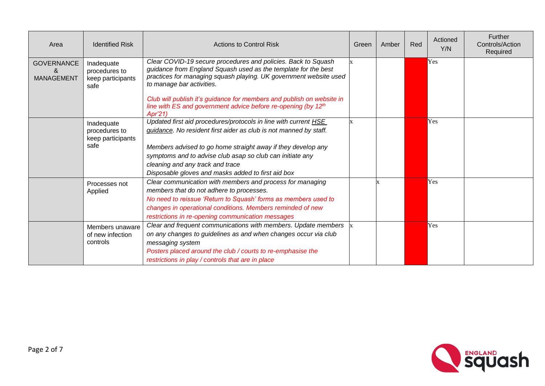| Area                                        | <b>Identified Risk</b>                                   | <b>Actions to Control Risk</b>                                                                                                                                                                                                                                                                             | Green | Amber | Red | Actioned<br>Y/N | Further<br>Controls/Action<br>Required |
|---------------------------------------------|----------------------------------------------------------|------------------------------------------------------------------------------------------------------------------------------------------------------------------------------------------------------------------------------------------------------------------------------------------------------------|-------|-------|-----|-----------------|----------------------------------------|
| <b>GOVERNANCE</b><br>&<br><b>MANAGEMENT</b> | Inadequate<br>procedures to<br>keep participants<br>safe | Clear COVID-19 secure procedures and policies. Back to Squash<br>guidance from England Squash used as the template for the best<br>practices for managing squash playing. UK government website used<br>to manage bar activities.<br>Club will publish it's guidance for members and publish on website in |       |       |     | Yes             |                                        |
|                                             |                                                          | line with ES and government advice before re-opening (by 12 <sup>th</sup><br>Apr'21)                                                                                                                                                                                                                       |       |       |     |                 |                                        |
|                                             | Inadequate<br>procedures to<br>keep participants<br>safe | Updated first aid procedures/protocols in line with current HSE<br>guidance. No resident first aider as club is not manned by staff.                                                                                                                                                                       |       |       |     | Yes             |                                        |
|                                             |                                                          | Members advised to go home straight away if they develop any<br>symptoms and to advise club asap so club can initiate any<br>cleaning and any track and trace<br>Disposable gloves and masks added to first aid box                                                                                        |       |       |     |                 |                                        |
|                                             | Processes not<br>Applied                                 | Clear communication with members and process for managing<br>members that do not adhere to processes.<br>No need to reissue 'Return to Squash' forms as members used to<br>changes in operational conditions. Members reminded of new<br>restrictions in re-opening communication messages                 |       |       |     | Yes             |                                        |
|                                             | Members unaware<br>of new infection<br>controls          | Clear and frequent communications with members. Update members<br>on any changes to guidelines as and when changes occur via club<br>messaging system<br>Posters placed around the club / courts to re-emphasise the<br>restrictions in play / controls that are in place                                  |       |       |     | Yes             |                                        |

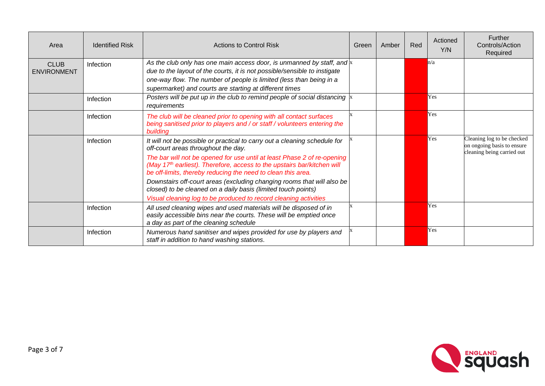| Area                              | <b>Identified Risk</b> | <b>Actions to Control Risk</b>                                                                                                                                                                                                                                                                                                                                                                                                                                                                                                                                    | Green | Amber | <b>Red</b> | Actioned<br>Y/N | Further<br>Controls/Action<br>Required                                                 |
|-----------------------------------|------------------------|-------------------------------------------------------------------------------------------------------------------------------------------------------------------------------------------------------------------------------------------------------------------------------------------------------------------------------------------------------------------------------------------------------------------------------------------------------------------------------------------------------------------------------------------------------------------|-------|-------|------------|-----------------|----------------------------------------------------------------------------------------|
| <b>CLUB</b><br><b>ENVIRONMENT</b> | Infection              | As the club only has one main access door, is unmanned by staff, and $\mathbf{x}$<br>due to the layout of the courts, it is not possible/sensible to instigate<br>one-way flow. The number of people is limited (less than being in a<br>supermarket) and courts are starting at different times                                                                                                                                                                                                                                                                  |       |       |            | n/a             |                                                                                        |
|                                   | Infection              | Posters will be put up in the club to remind people of social distancing $\vert x \vert$<br>requirements                                                                                                                                                                                                                                                                                                                                                                                                                                                          |       |       |            | Yes             |                                                                                        |
|                                   | Infection              | The club will be cleaned prior to opening with all contact surfaces<br>being sanitised prior to players and / or staff / volunteers entering the<br>building                                                                                                                                                                                                                                                                                                                                                                                                      |       |       |            | Yes             |                                                                                        |
|                                   | Infection              | It will not be possible or practical to carry out a cleaning schedule for<br>off-court areas throughout the day.<br>The bar will not be opened for use until at least Phase 2 of re-opening<br>(May 17 <sup>th</sup> earliest). Therefore, access to the upstairs bar/kitchen will<br>be off-limits, thereby reducing the need to clean this area.<br>Downstairs off-court areas (excluding changing rooms that will also be<br>closed) to be cleaned on a daily basis (limited touch points)<br>Visual cleaning log to be produced to record cleaning activities |       |       |            | Yes             | Cleaning log to be checked<br>on ongoing basis to ensure<br>cleaning being carried out |
|                                   | Infection              | All used cleaning wipes and used materials will be disposed of in<br>easily accessible bins near the courts. These will be emptied once<br>a day as part of the cleaning schedule                                                                                                                                                                                                                                                                                                                                                                                 |       |       |            | Yes             |                                                                                        |
|                                   | Infection              | Numerous hand sanitiser and wipes provided for use by players and<br>staff in addition to hand washing stations.                                                                                                                                                                                                                                                                                                                                                                                                                                                  |       |       |            | <b>Yes</b>      |                                                                                        |

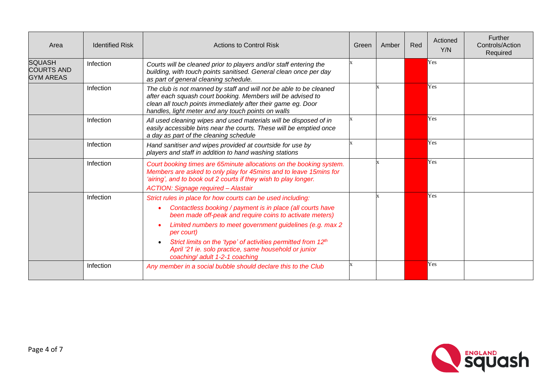| Area                                                   | <b>Identified Risk</b> | <b>Actions to Control Risk</b>                                                                                                                                                                                                                                                                                                                                                                                                                                                  | Green | Amber | Red | Actioned<br>Y/N | Further<br>Controls/Action<br>Required |
|--------------------------------------------------------|------------------------|---------------------------------------------------------------------------------------------------------------------------------------------------------------------------------------------------------------------------------------------------------------------------------------------------------------------------------------------------------------------------------------------------------------------------------------------------------------------------------|-------|-------|-----|-----------------|----------------------------------------|
| <b>SQUASH</b><br><b>COURTS AND</b><br><b>GYM AREAS</b> | Infection              | Courts will be cleaned prior to players and/or staff entering the<br>building, with touch points sanitised. General clean once per day<br>as part of general cleaning schedule.                                                                                                                                                                                                                                                                                                 |       |       |     | Yes             |                                        |
|                                                        | Infection              | The club is not manned by staff and will not be able to be cleaned<br>after each squash court booking. Members will be advised to<br>clean all touch points immediately after their game eg. Door<br>handles, light meter and any touch points on walls                                                                                                                                                                                                                         |       |       |     | Yes             |                                        |
|                                                        | Infection              | All used cleaning wipes and used materials will be disposed of in<br>easily accessible bins near the courts. These will be emptied once<br>a day as part of the cleaning schedule                                                                                                                                                                                                                                                                                               |       |       |     | Yes             |                                        |
|                                                        | Infection              | Hand sanitiser and wipes provided at courtside for use by<br>players and staff in addition to hand washing stations                                                                                                                                                                                                                                                                                                                                                             |       |       |     | Yes             |                                        |
|                                                        | Infection              | Court booking times are 65minute allocations on the booking system.<br>Members are asked to only play for 45mins and to leave 15mins for<br>'airing', and to book out 2 courts if they wish to play longer.<br><b>ACTION: Signage required - Alastair</b>                                                                                                                                                                                                                       |       |       |     | Yes             |                                        |
|                                                        | Infection              | Strict rules in place for how courts can be used including:<br>Contactless booking / payment is in place (all courts have<br>$\bullet$<br>been made off-peak and require coins to activate meters)<br>Limited numbers to meet government guidelines (e.g. max 2<br>$\bullet$<br>per court)<br>Strict limits on the 'type' of activities permitted from 12 <sup>th</sup><br>$\bullet$<br>April '21 ie. solo practice, same household or junior<br>coaching/ adult 1-2-1 coaching |       |       |     | Yes             |                                        |
|                                                        | Infection              | Any member in a social bubble should declare this to the Club                                                                                                                                                                                                                                                                                                                                                                                                                   |       |       |     | <b>Yes</b>      |                                        |

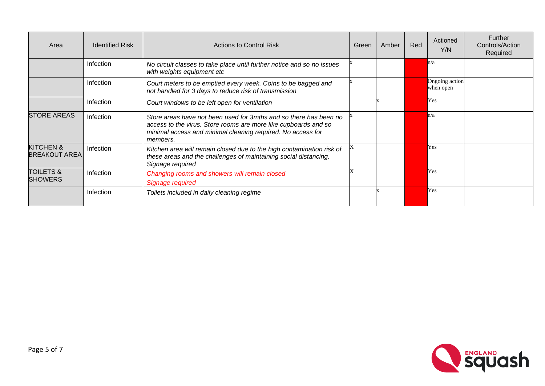| Area                                         | <b>Identified Risk</b> | <b>Actions to Control Risk</b>                                                                                                                                                                                  | Green | Amber | Red | Actioned<br>Y/N             | <b>Further</b><br>Controls/Action<br>Required |
|----------------------------------------------|------------------------|-----------------------------------------------------------------------------------------------------------------------------------------------------------------------------------------------------------------|-------|-------|-----|-----------------------------|-----------------------------------------------|
|                                              | Infection              | No circuit classes to take place until further notice and so no issues<br>with weights equipment etc                                                                                                            |       |       |     | n/a                         |                                               |
|                                              | Infection              | Court meters to be emptied every week. Coins to be bagged and<br>not handled for 3 days to reduce risk of transmission                                                                                          |       |       |     | Ongoing action<br>when open |                                               |
|                                              | Infection              | Court windows to be left open for ventilation                                                                                                                                                                   |       |       |     | Yes                         |                                               |
| <b>STORE AREAS</b>                           | Infection              | Store areas have not been used for 3mths and so there has been no<br>access to the virus. Store rooms are more like cupboards and so<br>minimal access and minimal cleaning required. No access for<br>members. |       |       |     | n/a                         |                                               |
| <b>KITCHEN &amp;</b><br><b>BREAKOUT AREA</b> | Infection              | Kitchen area will remain closed due to the high contamination risk of<br>these areas and the challenges of maintaining social distancing.<br>Signage required                                                   |       |       |     | Yes                         |                                               |
| <b>TOILETS &amp;</b><br><b>SHOWERS</b>       | Infection              | Changing rooms and showers will remain closed<br>Signage required                                                                                                                                               |       |       |     | Yes                         |                                               |
|                                              | Infection              | Toilets included in daily cleaning regime                                                                                                                                                                       |       |       |     | <b>Yes</b>                  |                                               |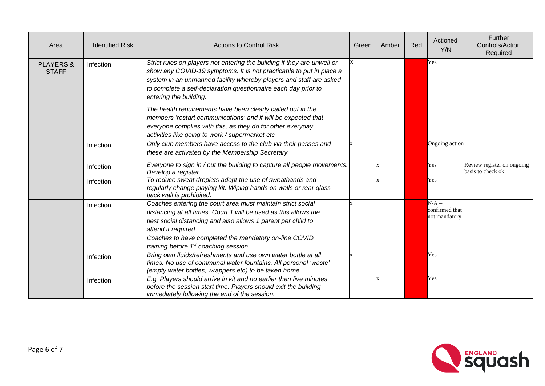| Area                                 | <b>Identified Risk</b> | <b>Actions to Control Risk</b>                                                                                                                                                                                                                                                                                                     | Green | Amber | Red | Actioned<br>Y/N                            | Further<br>Controls/Action<br>Required          |
|--------------------------------------|------------------------|------------------------------------------------------------------------------------------------------------------------------------------------------------------------------------------------------------------------------------------------------------------------------------------------------------------------------------|-------|-------|-----|--------------------------------------------|-------------------------------------------------|
| <b>PLAYERS &amp;</b><br><b>STAFF</b> | Infection              | Strict rules on players not entering the building if they are unwell or<br>show any COVID-19 symptoms. It is not practicable to put in place a<br>system in an unmanned facility whereby players and staff are asked<br>to complete a self-declaration questionnaire each day prior to<br>entering the building.                   | X     |       |     | Yes                                        |                                                 |
|                                      |                        | The health requirements have been clearly called out in the<br>members 'restart communications' and it will be expected that<br>everyone complies with this, as they do for other everyday<br>activities like going to work / supermarket etc                                                                                      |       |       |     |                                            |                                                 |
|                                      | Infection              | Only club members have access to the club via their passes and<br>these are activated by the Membership Secretary.                                                                                                                                                                                                                 |       |       |     | Ongoing action                             |                                                 |
|                                      | Infection              | Everyone to sign in / out the building to capture all people movements.<br>Develop a register.                                                                                                                                                                                                                                     |       |       |     | Yes                                        | Review register on ongoing<br>basis to check ok |
|                                      | Infection              | To reduce sweat droplets adopt the use of sweatbands and<br>regularly change playing kit. Wiping hands on walls or rear glass<br>back wall is prohibited.                                                                                                                                                                          |       |       |     | Yes                                        |                                                 |
|                                      | Infection              | Coaches entering the court area must maintain strict social<br>distancing at all times. Court 1 will be used as this allows the<br>best social distancing and also allows 1 parent per child to<br>attend if required<br>Coaches to have completed the mandatory on-line COVID<br>training before 1 <sup>st</sup> coaching session |       |       |     | $N/A -$<br>confirmed that<br>not mandatory |                                                 |
|                                      | Infection              | Bring own fluids/refreshments and use own water bottle at all<br>times. No use of communal water fountains. All personal 'waste'<br>(empty water bottles, wrappers etc) to be taken home.                                                                                                                                          |       |       |     | Yes                                        |                                                 |
|                                      | Infection              | E.g. Players should arrive in kit and no earlier than five minutes<br>before the session start time. Players should exit the building<br>immediately following the end of the session.                                                                                                                                             |       |       |     | Yes                                        |                                                 |